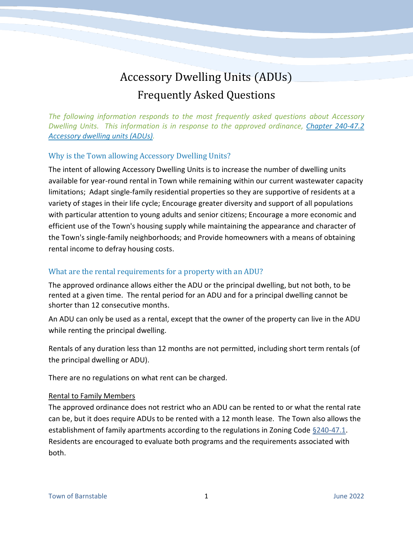# Accessory Dwelling Units (ADUs) Frequently Asked Questions

*The following information responds to the most frequently asked questions about Accessory Dwelling Units. This information is in response to the approved ordinance, [Chapter 240-47.2](https://ecode360.com/37663837?highlight=adu,adus&searchId=8667268717518618)  [Accessory dwelling units \(ADUs\).](https://ecode360.com/37663837?highlight=adu,adus&searchId=8667268717518618)* 

## Why is the Town allowing Accessory Dwelling Units?

The intent of allowing Accessory Dwelling Units is to increase the number of dwelling units available for year-round rental in Town while remaining within our current wastewater capacity limitations; Adapt single-family residential properties so they are supportive of residents at a variety of stages in their life cycle; Encourage greater diversity and support of all populations with particular attention to young adults and senior citizens; Encourage a more economic and efficient use of the Town's housing supply while maintaining the appearance and character of the Town's single-family neighborhoods; and Provide homeowners with a means of obtaining rental income to defray housing costs.

## What are the rental requirements for a property with an ADU?

The approved ordinance allows either the ADU or the principal dwelling, but not both, to be rented at a given time. The rental period for an ADU and for a principal dwelling cannot be shorter than 12 consecutive months.

An ADU can only be used as a rental, except that the owner of the property can live in the ADU while renting the principal dwelling.

Rentals of any duration less than 12 months are not permitted, including short term rentals (of the principal dwelling or ADU).

There are no regulations on what rent can be charged.

#### Rental to Family Members

The approved ordinance does not restrict who an ADU can be rented to or what the rental rate can be, but it does require ADUs to be rented with a 12 month lease. The Town also allows the establishment of family apartments according to the regulations in Zoning Code  $\S$ 240-47.1. Residents are encouraged to evaluate both programs and the requirements associated with both.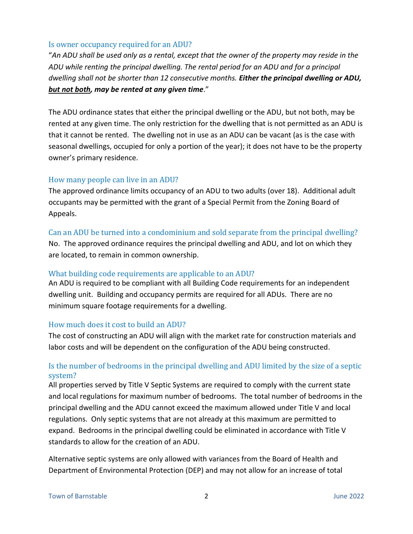#### Is owner occupancy required for an ADU?

"*An ADU shall be used only as a rental, except that the owner of the property may reside in the ADU while renting the principal dwelling. The rental period for an ADU and for a principal dwelling shall not be shorter than 12 consecutive months. Either the principal dwelling or ADU, but not both, may be rented at any given time*."

The ADU ordinance states that either the principal dwelling or the ADU, but not both, may be rented at any given time. The only restriction for the dwelling that is not permitted as an ADU is that it cannot be rented. The dwelling not in use as an ADU can be vacant (as is the case with seasonal dwellings, occupied for only a portion of the year); it does not have to be the property owner's primary residence.

#### How many people can live in an ADU?

The approved ordinance limits occupancy of an ADU to two adults (over 18). Additional adult occupants may be permitted with the grant of a Special Permit from the Zoning Board of Appeals.

Can an ADU be turned into a condominium and sold separate from the principal dwelling? No. The approved ordinance requires the principal dwelling and ADU, and lot on which they are located, to remain in common ownership.

#### What building code requirements are applicable to an ADU?

An ADU is required to be compliant with all Building Code requirements for an independent dwelling unit. Building and occupancy permits are required for all ADUs. There are no minimum square footage requirements for a dwelling.

#### How much does it cost to build an ADU?

The cost of constructing an ADU will align with the market rate for construction materials and labor costs and will be dependent on the configuration of the ADU being constructed.

## Is the number of bedrooms in the principal dwelling and ADU limited by the size of a septic system?

All properties served by Title V Septic Systems are required to comply with the current state and local regulations for maximum number of bedrooms. The total number of bedrooms in the principal dwelling and the ADU cannot exceed the maximum allowed under Title V and local regulations. Only septic systems that are not already at this maximum are permitted to expand. Bedrooms in the principal dwelling could be eliminated in accordance with Title V standards to allow for the creation of an ADU.

Alternative septic systems are only allowed with variances from the Board of Health and Department of Environmental Protection (DEP) and may not allow for an increase of total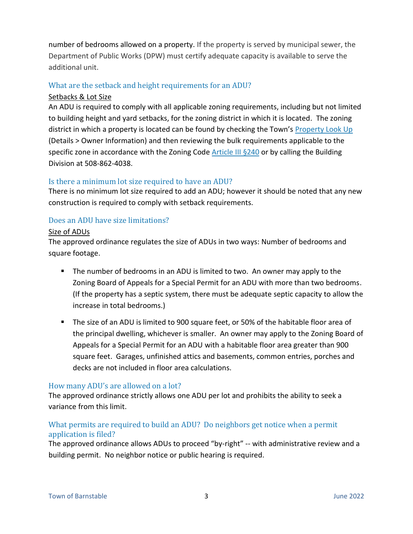number of bedrooms allowed on a property. If the property is served by municipal sewer, the Department of Public Works (DPW) must certify adequate capacity is available to serve the additional unit.

# What are the setback and height requirements for an ADU?

## Setbacks & Lot Size

An ADU is required to comply with all applicable zoning requirements, including but not limited to building height and yard setbacks, for the zoning district in which it is located. The zoning district in which a property is located can be found by checking the Town's [Property Look Up](https://www.townofbarnstable.us/Departments/Assessing/Property_Values/Property-Look-Up.asp) (Details > Owner Information) and then reviewing the bulk requirements applicable to the specific zone in accordance with the Zoning Code [Article III §240](https://ecode360.com/6558188) or by calling the Building Division at 508-862-4038.

## Is there a minimum lot size required to have an ADU?

There is no minimum lot size required to add an ADU; however it should be noted that any new construction is required to comply with setback requirements.

# Does an ADU have size limitations?

#### Size of ADUs

The approved ordinance regulates the size of ADUs in two ways: Number of bedrooms and square footage.

- **The number of bedrooms in an ADU is limited to two. An owner may apply to the** Zoning Board of Appeals for a Special Permit for an ADU with more than two bedrooms. (If the property has a septic system, there must be adequate septic capacity to allow the increase in total bedrooms.)
- The size of an ADU is limited to 900 square feet, or 50% of the habitable floor area of the principal dwelling, whichever is smaller. An owner may apply to the Zoning Board of Appeals for a Special Permit for an ADU with a habitable floor area greater than 900 square feet. Garages, unfinished attics and basements, common entries, porches and decks are not included in floor area calculations.

## How many ADU's are allowed on a lot?

The approved ordinance strictly allows one ADU per lot and prohibits the ability to seek a variance from this limit.

# What permits are required to build an ADU? Do neighbors get notice when a permit application is filed?

The approved ordinance allows ADUs to proceed "by-right" -- with administrative review and a building permit. No neighbor notice or public hearing is required.